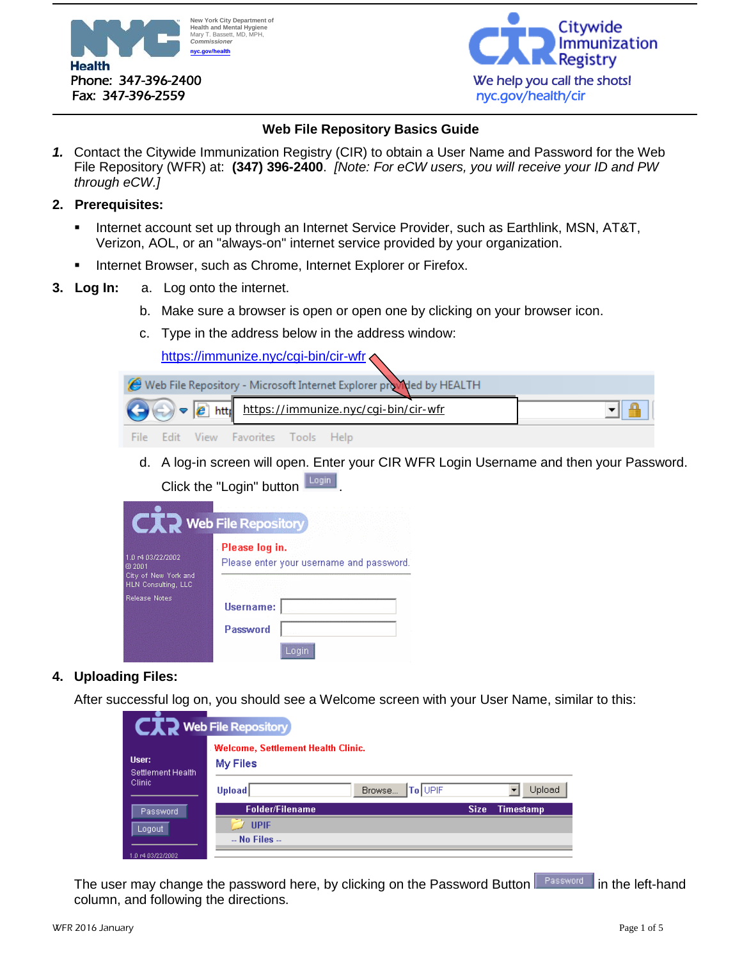



# **Web File Repository Basics Guide**

*1.* Contact the Citywide Immunization Registry (CIR) to obtain a User Name and Password for the Web File Repository (WFR) at: **(347) 396-2400**. *[Note: For eCW users, you will receive your ID and PW through eCW.]*

## **2. Prerequisites:**

- Internet account set up through an Internet Service Provider, such as Earthlink, MSN, AT&T, Verizon, AOL, or an "always-on" internet service provided by your organization.
- Internet Browser, such as Chrome, Internet Explorer or Firefox.
- **3. Log In:** a. Log onto the internet.
	- b. Make sure a browser is open or open one by clicking on your browser icon.
	- c. Type in the address below in the address window:

<https://immunize.nyc/cgi-bin/cir-wfr>



d. A log-in screen will open. Enter your CIR WFR Login Username and then your Password. Click the "Login" button Login

|                                             | <b>Web File Repository</b>                                 |
|---------------------------------------------|------------------------------------------------------------|
| 1.0 r4 03/22/2002<br>@2001                  | Please log in.<br>Please enter your username and password. |
| City of New York and<br>HLN Consulting, LLC |                                                            |
| <b>Release Notes</b>                        | Username:                                                  |
|                                             | Password                                                   |
|                                             |                                                            |

## **4. Uploading Files:**

After successful log on, you should see a Welcome screen with your User Name, similar to this:

|                            | <b>CIR</b> Web File Repository                        |                  |             |           |
|----------------------------|-------------------------------------------------------|------------------|-------------|-----------|
| User:<br>Settlement Health | <b>Welcome, Settlement Health Clinic.</b><br>My Files |                  |             |           |
| Clinic                     | <b>Upload</b>                                         | Browse   To UPIF |             | Upload    |
| Password                   | Folder/Filename                                       |                  | <b>Size</b> | Timestamp |
| Logout                     | <b>UPIF</b>                                           |                  |             |           |
|                            | $-$ No Files $-$                                      |                  |             |           |
| 1.0 r4 03/22/2002          |                                                       |                  |             |           |

The user may change the password here, by clicking on the Password Button **Flassword** in the left-hand column, and following the directions.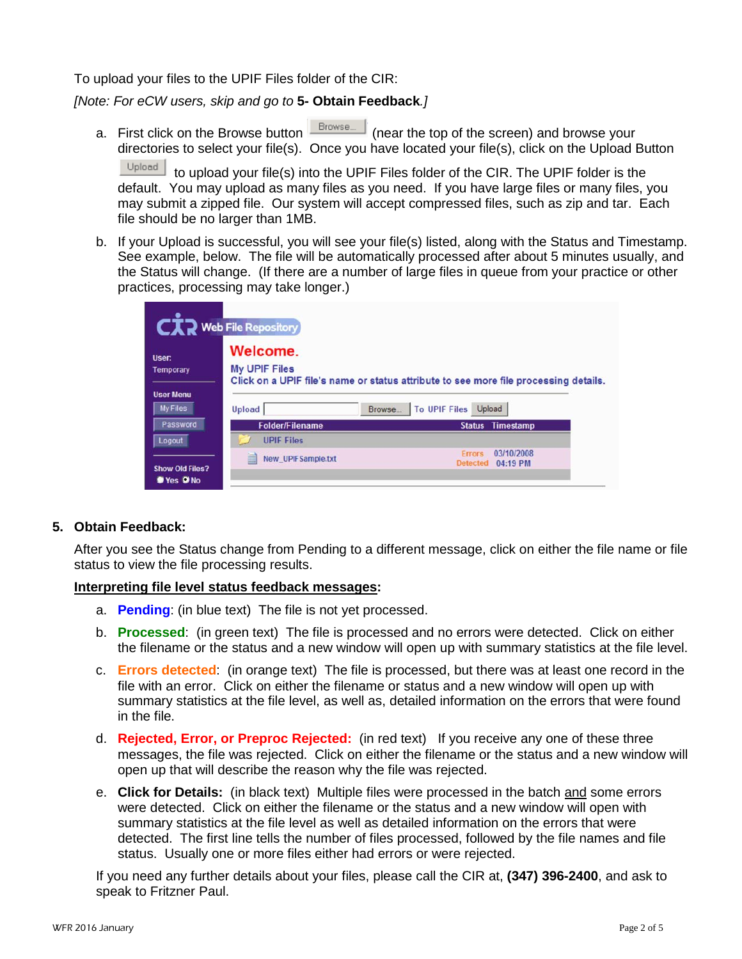To upload your files to the UPIF Files folder of the CIR:

*[Note: For eCW users, skip and go to* **5- Obtain Feedback***.]*

a. First click on the Browse button  $\sqrt{\frac{B_{\text{rowse}}}{B_{\text{rowse}}}}$  (near the top of the screen) and browse your directories to select your file(s). Once you have located your file(s), click on the Upload Button

Upload | to upload your file(s) into the UPIF Files folder of the CIR. The UPIF folder is the default. You may upload as many files as you need. If you have large files or many files, you may submit a zipped file. Our system will accept compressed files, such as zip and tar. Each file should be no larger than 1MB.

b. If your Upload is successful, you will see your file(s) listed, along with the Status and Timestamp. See example, below. The file will be automatically processed after about 5 minutes usually, and the Status will change. (If there are a number of large files in queue from your practice or other practices, processing may take longer.)

| Temporary                           | <b>My UPIF Files</b><br>Click on a UPIF file's name or status attribute to see more file processing details. |                            |  |
|-------------------------------------|--------------------------------------------------------------------------------------------------------------|----------------------------|--|
| <b>User Menu</b><br><b>My Files</b> | Browse<br><b>Upload</b>                                                                                      | To UPIF Files<br>Upload    |  |
|                                     |                                                                                                              |                            |  |
|                                     | <b>Folder/Filename</b>                                                                                       | Timestamp<br><b>Status</b> |  |
| Password<br>Logout                  | <b>UPIF Files</b>                                                                                            |                            |  |

## **5. Obtain Feedback:**

After you see the Status change from Pending to a different message, click on either the file name or file status to view the file processing results.

## **Interpreting file level status feedback messages:**

- a. **Pending**: (in blue text) The file is not yet processed.
- b. **Processed**: (in green text) The file is processed and no errors were detected. Click on either the filename or the status and a new window will open up with summary statistics at the file level.
- c. **Errors detected**: (in orange text) The file is processed, but there was at least one record in the file with an error. Click on either the filename or status and a new window will open up with summary statistics at the file level, as well as, detailed information on the errors that were found in the file.
- d. **Rejected, Error, or Preproc Rejected:** (in red text) If you receive any one of these three messages, the file was rejected. Click on either the filename or the status and a new window will open up that will describe the reason why the file was rejected.
- e. **Click for Details:** (in black text) Multiple files were processed in the batch and some errors were detected. Click on either the filename or the status and a new window will open with summary statistics at the file level as well as detailed information on the errors that were detected. The first line tells the number of files processed, followed by the file names and file status. Usually one or more files either had errors or were rejected.

If you need any further details about your files, please call the CIR at, **(347) 396-2400**, and ask to speak to Fritzner Paul.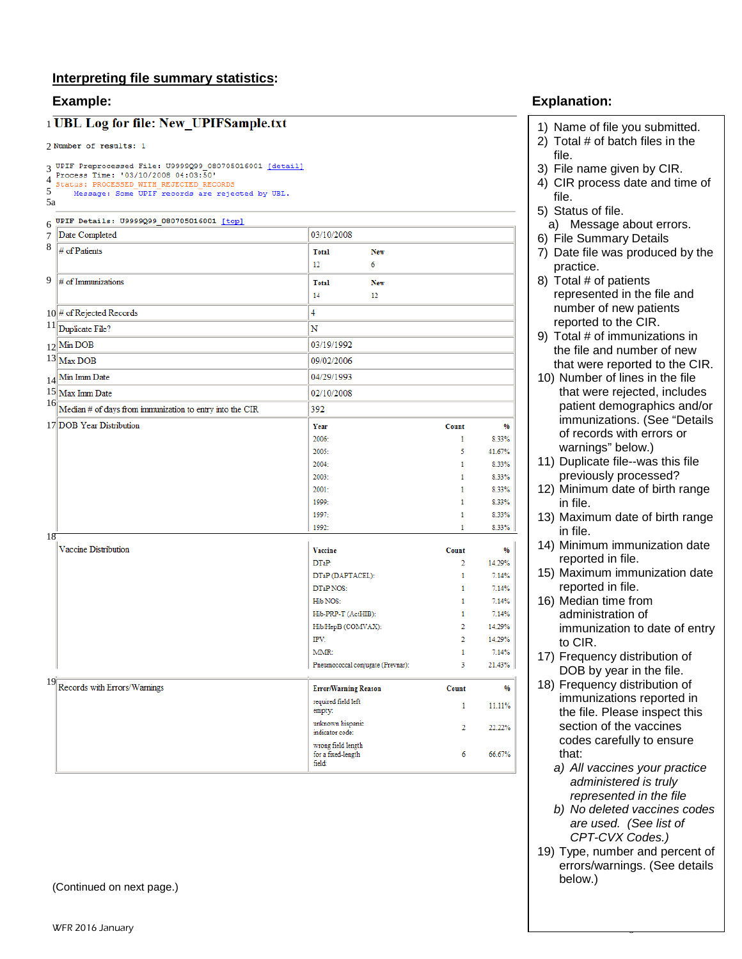## **Interpreting file summary statistics:**

## 1 UBL Log for file: New\_UPIFSample.txt

## 2 Number of results: 1

|         | <b>1 UBL Log for file: New_UPIFSample.txt</b>                                                                                                                                                 |                                                    |            |                |                |
|---------|-----------------------------------------------------------------------------------------------------------------------------------------------------------------------------------------------|----------------------------------------------------|------------|----------------|----------------|
|         | 2 Number of results: 1                                                                                                                                                                        |                                                    |            |                |                |
| 5<br>5a | 3 UPIF Preprocessed File: U9999Q99_080705016001 [detail]<br>Process Time: '03/10/2008 04:03:50'<br>Status: PROCESSED WITH REJECTED RECORDS<br>Message: Some UPIF records are rejected by UBL. |                                                    |            |                |                |
|         | 6 UPIF Details: U9999Q99_080705016001 [top]                                                                                                                                                   |                                                    |            |                |                |
| 7       | Date Completed                                                                                                                                                                                | 03/10/2008                                         |            |                |                |
| 8       | $#$ of Patients                                                                                                                                                                               | <b>Total</b><br>12<br>6                            | <b>New</b> |                |                |
| 9       | $\#$ of Immunizations                                                                                                                                                                         | <b>Total</b>                                       | New        |                |                |
|         |                                                                                                                                                                                               | 14                                                 | 12         |                |                |
|         | $10$ # of Rejected Records                                                                                                                                                                    | 4                                                  |            |                |                |
|         | $11$ Duplicate File?                                                                                                                                                                          | N                                                  |            |                |                |
|         | $12$ Min DOB                                                                                                                                                                                  | 03/19/1992                                         |            |                |                |
|         | $13$ Max DOB                                                                                                                                                                                  | 09/02/2006                                         |            |                |                |
|         | $14$ Min Imm Date                                                                                                                                                                             | 04/29/1993                                         |            |                |                |
|         | 15 Max Imm Date                                                                                                                                                                               | 02/10/2008                                         |            |                |                |
| 16      | Median # of days from immunization to entry into the CIR                                                                                                                                      | 392                                                |            |                |                |
|         | 17 DOB Year Distribution                                                                                                                                                                      | Year                                               |            | Count          | 96             |
|         |                                                                                                                                                                                               | 2006:                                              |            | 1              | 8.33%          |
|         |                                                                                                                                                                                               | 2005:                                              |            | 5              | 41.67%         |
|         |                                                                                                                                                                                               | 2004:                                              |            | 1              | 8.33%          |
|         |                                                                                                                                                                                               | 2003:                                              |            | 1              | 8.33%          |
|         |                                                                                                                                                                                               | 2001:                                              |            | 1              | 8.33%          |
|         |                                                                                                                                                                                               | 1999:<br>1997:                                     |            | 1<br>1         | 8.33%<br>8.33% |
|         |                                                                                                                                                                                               | 1992:                                              |            | 1              | 8.33%          |
| 18      |                                                                                                                                                                                               |                                                    |            |                |                |
|         | Vaccine Distribution                                                                                                                                                                          | <b>Vaccine</b>                                     |            | Count          | %              |
|         |                                                                                                                                                                                               | DTaP:                                              |            | $\overline{2}$ | 14.29%         |
|         |                                                                                                                                                                                               | DTaP (DAPTACEL):<br>DTaP NOS:                      |            | 1<br>1         | 7.14%<br>7.14% |
|         |                                                                                                                                                                                               | Hib NOS:                                           |            | 1              | 7.14%          |
|         |                                                                                                                                                                                               | Hib-PRP-T (ActHIB):                                |            | 1              | 7.14%          |
|         |                                                                                                                                                                                               | Hib/HepB (COMVAX):                                 |            | 2              | 14.29%         |
|         |                                                                                                                                                                                               | IPV:                                               |            | 2              | 14.29%         |
|         |                                                                                                                                                                                               | MMR:                                               |            | 1              | 7.14%          |
|         |                                                                                                                                                                                               | Pneumococcal conjugate (Prevnar):                  |            | 3              | 21.43%         |
| 19      | Records with Errors/Warnings                                                                                                                                                                  | <b>Error/Warning Reason</b>                        |            | Count          | %              |
|         |                                                                                                                                                                                               | required field left<br>empty:                      |            | 1              | 11.11%         |
|         |                                                                                                                                                                                               | unknown hispanic<br>indicator code:                |            | 2              | 22.22%         |
|         |                                                                                                                                                                                               | wrong field length<br>for a fixed-length<br>field: |            | 6              | 66.67%         |
|         |                                                                                                                                                                                               |                                                    |            |                |                |

(Continued on next page. )

# **Example: Explanation:**

- 1) Name of file you submitted.
- 2) Total # of batch files in the file.
- 3) File name given by CIR.
- 4) CIR process date and time of file.
- 5) Status of file.
	- a) Message about errors.
- 6) File Summary Details
- 7) Date file was produced by the practice.
- 8) Total # of patients represented in the file and number of new patients reported to the CIR.
- 9) Total # of immunizations in the file and number of new that were reported to the CIR.
- 10) Number of lines in the file that were rejected, includes patient demographics and/or immunizations. (See "Details of records with errors or warnings" below.)
- 11) Duplicate file-- was this file previously processed?
- 12) Minimum date of birth range in file.
- 13) Maximum date of birth range in file.
- 14) Minimum immunization date reported in file.
- 15) Maximum immunization date reported in file.
- 16) Median time from administration of immunization to date of entry to CIR.
- 17) Frequency distribution of DOB by year in the file.
- 18) Frequency distribution of immunizations reported in the file. Please inspect this section of the vaccines codes carefully to ensure that:
	- *a) All vaccines your practice administered is truly represented in the file*
	- *b) No deleted vaccines codes are used. (See list of CPT-CVX Codes.)*
- 19) Type, number and percent of errors/warnings. (See details below.)

3 of  $\overline{a}$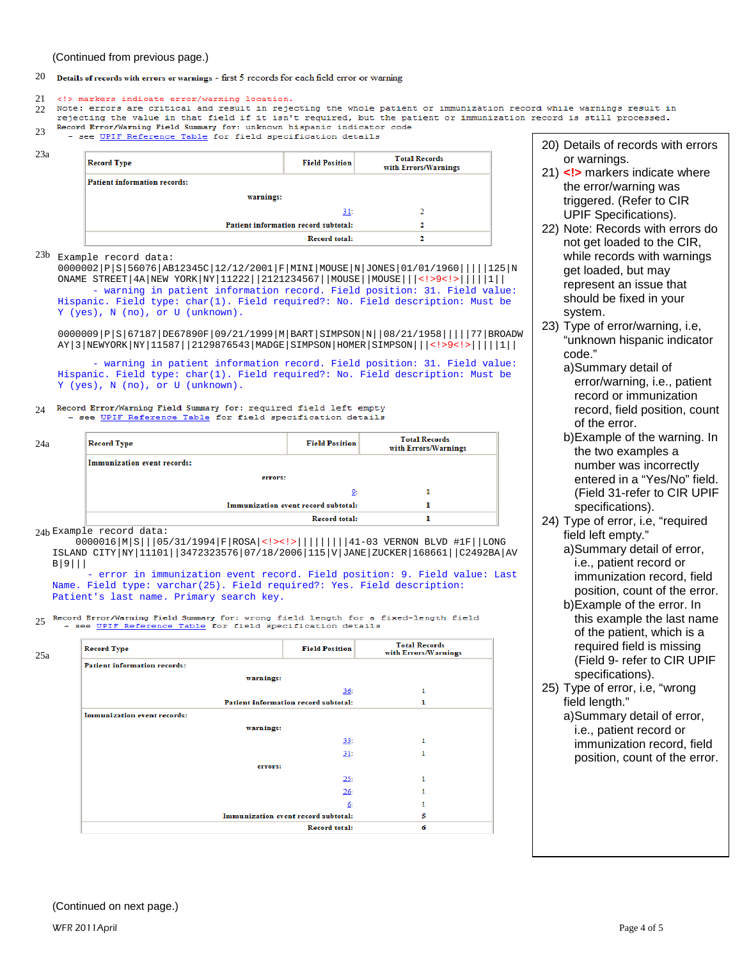(Continued from previous page.)

## 20 Details of records with errors or warnings - first  $5$  records for each field error or warning

### <!> markers indicate error/warning location. 21

- $22$ Note: errors are critical and result in rejecting the whole patient or immunization record while warnings result in rejecting the value in that field if it isn't required, but the patient or immunization record is still processed.
- Record Error/Warning Field Summary for: unknown hispanic indicator code  $23$
- see UPIF Reference Table for field specification details

| <b>Record Type</b>                  | <b>Field Position</b>                | <b>Total Records</b><br>with Errors/Warnings |
|-------------------------------------|--------------------------------------|----------------------------------------------|
| <b>Patient information records:</b> |                                      |                                              |
| warnings:                           |                                      |                                              |
|                                     | 31:                                  |                                              |
|                                     | Patient information record subtotal: |                                              |
|                                     | <b>Record total:</b>                 |                                              |

23a

 $^{23b}$  Example record data: 0000002|P|S|56076|AB12345C|12/12/2001|F|MINI|MOUSE|N|JONES|01/01/1960|||||125|N ONAME STREET|4A|NEW YORK|NY|11222||2121234567||MOUSE||MOUSE|||<!>9<!>|||||1|| - warning in patient information record. Field position: 31. Field value: Hispanic. Field type: char(1). Field required?: No. Field description: Must be Y (yes), N (no), or U (unknown).

0000009|P|S|67187|DE67890F|09/21/1999|M|BART|SIMPSON|N||08/21/1958|||||77|BROADW AY|3|NEWYORK|NY|11587||2129876543|MADGE|SIMPSON|HOMER|SIMPSON|||<!>9<!>|||||1||

 - warning in patient information record. Field position: 31. Field value: Hispanic. Field type: char(1). Field required?: No. Field description: Must be Y (yes), N (no), or U (unknown).

### Record Error/Warning Field Summary for: required field left empty  $24$ - see UPIF Reference Table for field specification details

| 24a | <b>Record Type</b>          | <b>Field Position</b>               | <b>Total Records</b><br>with Errors/Warnings |
|-----|-----------------------------|-------------------------------------|----------------------------------------------|
|     | Immunization event records: |                                     |                                              |
|     | errors:                     |                                     |                                              |
|     |                             | 9:                                  |                                              |
|     |                             | Immunization event record subtotal: |                                              |
|     |                             | <b>Record total:</b>                |                                              |

Example record data: 24b

 0000016|M|S|||05/31/1994|F|ROSA|<!><!>|||||||||41-03 VERNON BLVD #1F||LONG ISLAND CITY|NY|11101||3472323576|07/18/2006|115|V|JANE|ZUCKER|168661||C2492BA|AV B|9|||

error in immunization event record. Field position: 9. Field value: Last Name. Field type: varchar(25). Field required?: Yes. Field description: Patient's last name. Primary search key.

25 Record Error/Warning Field Summary for: wrong field length for a fixed-length field see UPIF Reference Table for field specification details

| <b>Record Type</b>                  | <b>Field Position</b>                | <b>Total Records</b><br>with Errors/Warnings |
|-------------------------------------|--------------------------------------|----------------------------------------------|
| <b>Patient information records:</b> |                                      |                                              |
| warnings:                           |                                      |                                              |
|                                     | 36:                                  |                                              |
|                                     | Patient information record subtotal: |                                              |
| Immunization event records:         |                                      |                                              |
| warnings:                           |                                      |                                              |
|                                     | 33:                                  |                                              |
|                                     | 31:                                  |                                              |
| errors:                             |                                      |                                              |
|                                     | 25:                                  |                                              |
|                                     | 26:                                  |                                              |
|                                     | 6:                                   |                                              |
| Immunization event record subtotal: |                                      | 5                                            |
|                                     | <b>Record total:</b>                 | 6                                            |

- 20) Details of records with errors or warnings.
- 21) **<!>** markers indicate where the error/warning was triggered. (Refer to CIR UPIF Specifications).
- 22) Note: Records with errors do not get loaded to the CIR, while records with warnings get loaded, but may represent an issue that should be fixed in your system.
- 23) Type of error/warning, i.e, "unknown hispanic indicator code."
	- a)Summary detail of error/warning, i.e., patient record or immunization record, field position, count of the error.
	- b)Example of the warning. In the two examples a number was incorrectly entered in a "Yes/No" field. (Field 31-refer to CIR UPIF specifications).
- 24) Type of error, i.e, "required field left empty."
	- a)Summary detail of error, i.e., patient record or immunization record, field position, count of the error.
	- b)Example of the error. In this example the last name of the patient, which is a required field is missing (Field 9- refer to CIR UPIF specifications).
- 25) Type of error, i.e, "wrong field length."
	- a)Summary detail of error, i.e., patient record or immunization record, field position, count of the error.